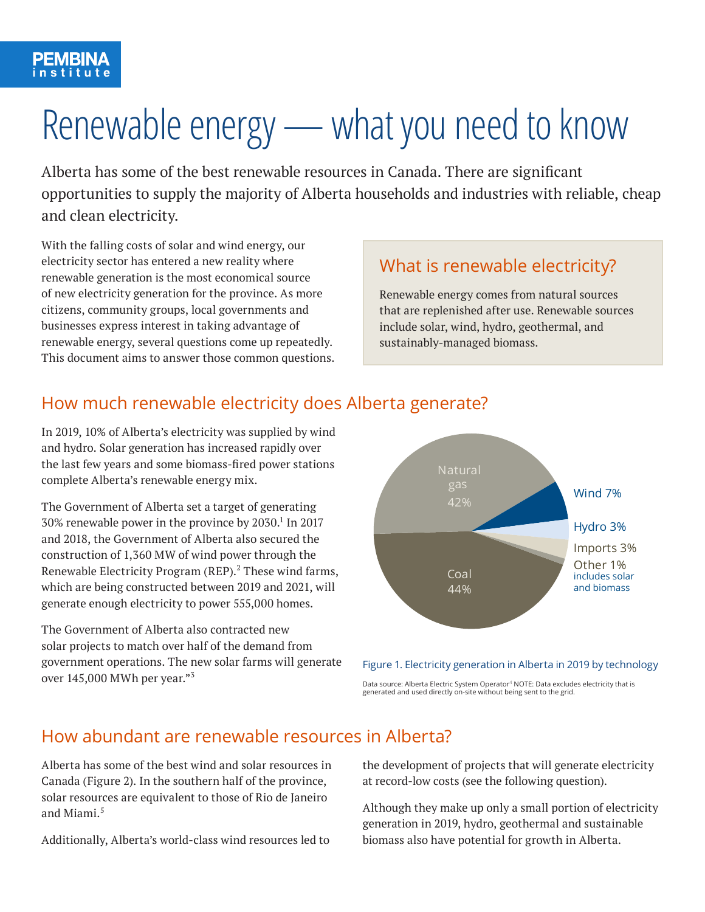# Renewable energy — what you need to know

Alberta has some of the best renewable resources in Canada. There are significant opportunities to supply the majority of Alberta households and industries with reliable, cheap and clean electricity.

With the falling costs of solar and wind energy, our electricity sector has entered a new reality where renewable generation is the most economical source of new electricity generation for the province. As more citizens, community groups, local governments and businesses express interest in taking advantage of renewable energy, several questions come up repeatedly. This document aims to answer those common questions.

# What is renewable electricity?

Renewable energy comes from natural sources that are replenished after use. Renewable sources include solar, wind, hydro, geothermal, and sustainably-managed biomass.

# How much renewable electricity does Alberta generate?

In 2019, 10% of Alberta's electricity was supplied by wind and hydro. Solar generation has increased rapidly over the last few years and some biomass-fired power stations complete Alberta's renewable energy mix.

The Government of Alberta set a target of generating 30% renewable power in the province by 2030.<sup>1</sup> In 2017 and 2018, the Government of Alberta also secured the construction of 1,360 MW of wind power through the Renewable Electricity Program (REP).<sup>2</sup> These wind farms, which are being constructed between 2019 and 2021, will generate enough electricity to power 555,000 homes.

The Government of Alberta also contracted new solar projects to match over half of the demand from government operations. The new solar farms will generate over 145,000 MWh per year."3





Data source: Alberta Electric System Operator ${}^4$  NOTE: Data excludes electricity that is generated and used directly on-site without being sent to the grid.

# How abundant are renewable resources in Alberta?

Alberta has some of the best wind and solar resources in Canada (Figure 2). In the southern half of the province, solar resources are equivalent to those of Rio de Janeiro and Miami.<sup>5</sup>

Additionally, Alberta's world-class wind resources led to

the development of projects that will generate electricity at record-low costs (see the following question).

Although they make up only a small portion of electricity generation in 2019, hydro, geothermal and sustainable biomass also have potential for growth in Alberta.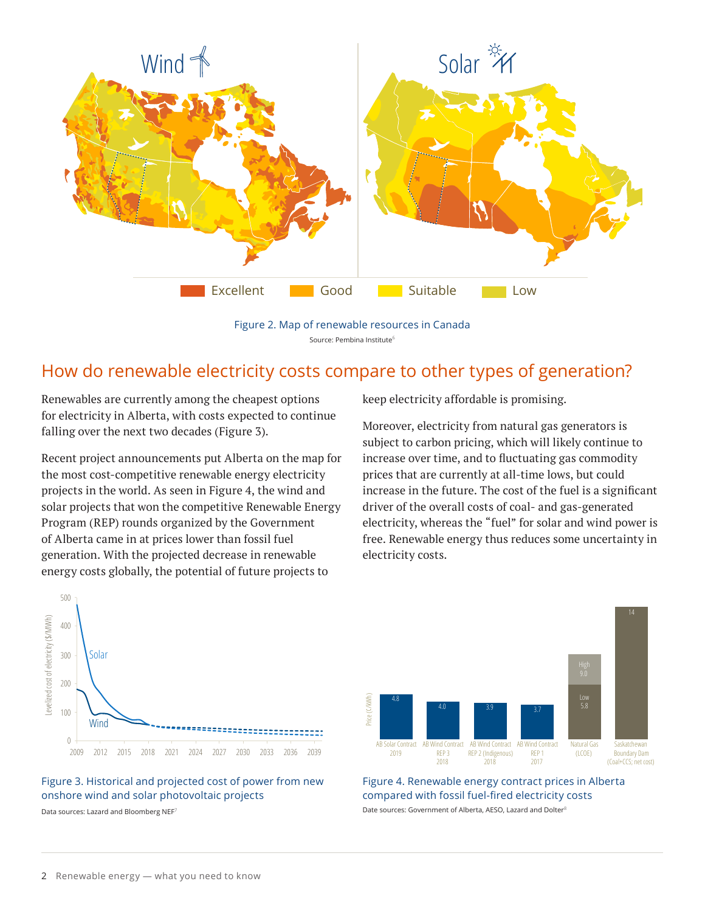

Figure 2. Map of renewable resources in Canada Source: Pembina Institute<sup>6</sup>

#### How do renewable electricity costs compare to other types of generation?

Renewables are currently among the cheapest options for electricity in Alberta, with costs expected to continue falling over the next two decades (Figure 3).

Recent project announcements put Alberta on the map for the most cost-competitive renewable energy electricity projects in the world. As seen in Figure 4, the wind and solar projects that won the competitive Renewable Energy Program (REP) rounds organized by the Government of Alberta came in at prices lower than fossil fuel generation. With the projected decrease in renewable energy costs globally, the potential of future projects to

keep electricity affordable is promising.

Moreover, electricity from natural gas generators is subject to carbon pricing, which will likely continue to increase over time, and to fluctuating gas commodity prices that are currently at all-time lows, but could increase in the future. The cost of the fuel is a significant driver of the overall costs of coal- and gas-generated electricity, whereas the "fuel" for solar and wind power is free. Renewable energy thus reduces some uncertainty in electricity costs.



Figure 4. Renewable energy contract prices in Alberta compared with fossil fuel-fired electricity costs Date sources: Government of Alberta, AESO, Lazard and Dolter<sup>8</sup>



2009 2012 2015 2018 2021 2024 2027 2030 2033 2036 2039

Levelized cost of electricity (\$/MWh)

Levelized cost of electricity (\$/MWh)

**Wind** 

 $\,0$ 

100

200

300

400

500

Solar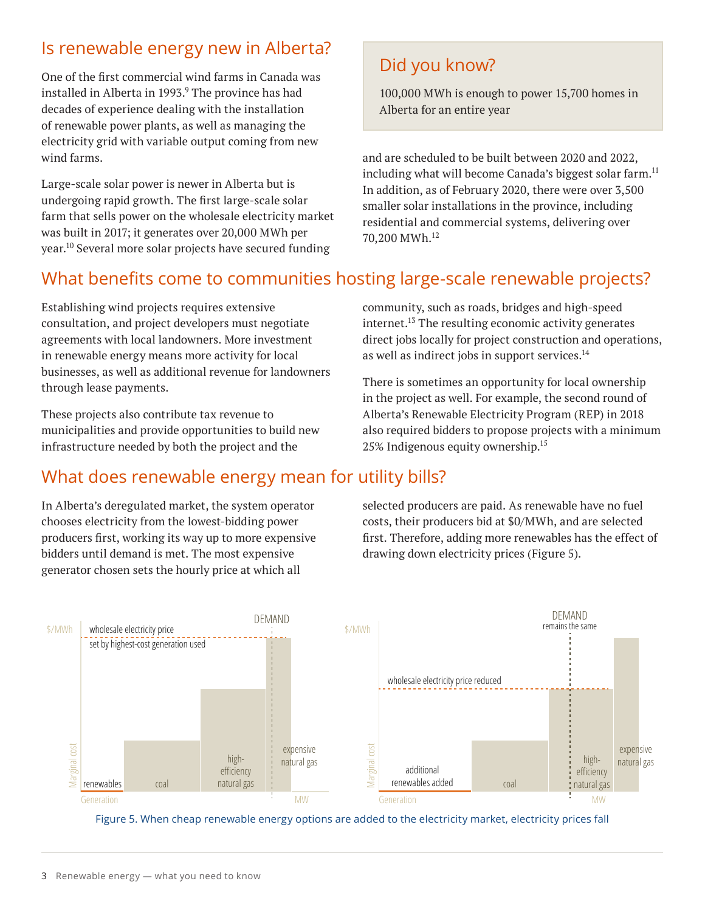# Is renewable energy new in Alberta?

One of the first commercial wind farms in Canada was installed in Alberta in 1993.<sup>9</sup> The province has had decades of experience dealing with the installation of renewable power plants, as well as managing the electricity grid with variable output coming from new wind farms.

Large-scale solar power is newer in Alberta but is undergoing rapid growth. The first large-scale solar farm that sells power on the wholesale electricity market was built in 2017; it generates over 20,000 MWh per year.10 Several more solar projects have secured funding

# Did you know?

100,000 MWh is enough to power 15,700 homes in Alberta for an entire year

and are scheduled to be built between 2020 and 2022, including what will become Canada's biggest solar farm.<sup>11</sup> In addition, as of February 2020, there were over 3,500 smaller solar installations in the province, including residential and commercial systems, delivering over 70,200 MWh.12

# What benefits come to communities hosting large-scale renewable projects?

Establishing wind projects requires extensive consultation, and project developers must negotiate agreements with local landowners. More investment in renewable energy means more activity for local businesses, as well as additional revenue for landowners through lease payments.

These projects also contribute tax revenue to municipalities and provide opportunities to build new infrastructure needed by both the project and the

# What does renewable energy mean for utility bills?

In Alberta's deregulated market, the system operator chooses electricity from the lowest-bidding power producers first, working its way up to more expensive bidders until demand is met. The most expensive generator chosen sets the hourly price at which all

community, such as roads, bridges and high-speed internet.<sup>13</sup> The resulting economic activity generates direct jobs locally for project construction and operations, as well as indirect jobs in support services.<sup>14</sup>

There is sometimes an opportunity for local ownership in the project as well. For example, the second round of Alberta's Renewable Electricity Program (REP) in 2018 also required bidders to propose projects with a minimum 25% Indigenous equity ownership.15

selected producers are paid. As renewable have no fuel costs, their producers bid at \$0/MWh, and are selected first. Therefore, adding more renewables has the effect of drawing down electricity prices (Figure 5).



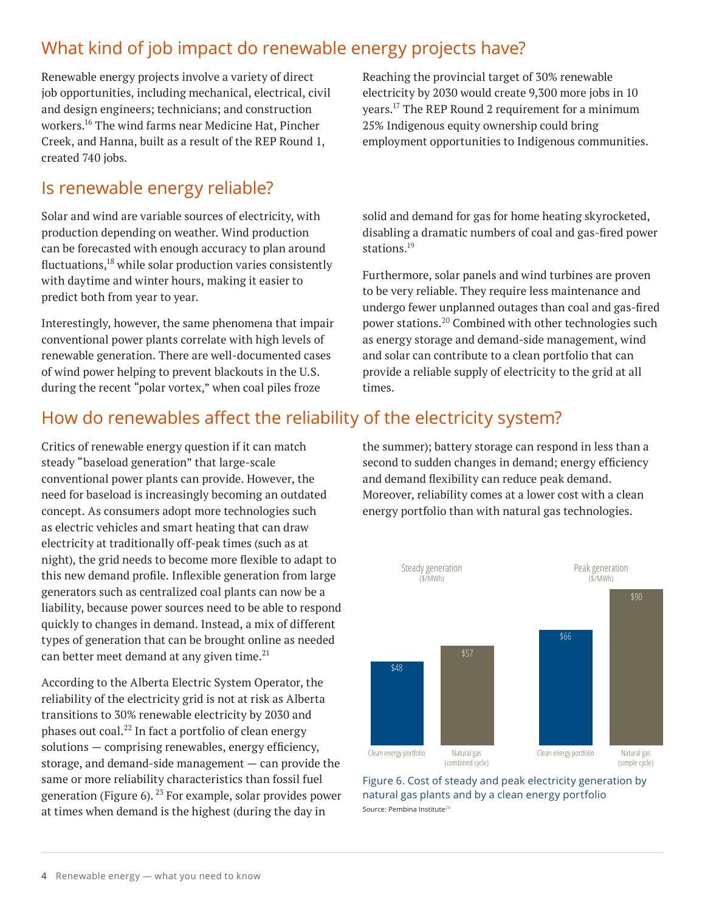# What kind of job impact do renewable energy projects have?

Renewable energy projects involve a variety of direct job opportunities, including mechanical, electrical, civil and design engineers; technicians; and construction workers.16 The wind farms near Medicine Hat, Pincher Creek, and Hanna, built as a result of the REP Round 1, created 740 jobs.

## Is renewable energy reliable?

Solar and wind are variable sources of electricity, with production depending on weather. Wind production can be forecasted with enough accuracy to plan around fluctuations, $18$  while solar production varies consistently with daytime and winter hours, making it easier to predict both from year to year.

Interestingly, however, the same phenomena that impair conventional power plants correlate with high levels of renewable generation. There are well-documented cases of wind power helping to prevent blackouts in the U.S. during the recent "polar vortex," when coal piles froze

Reaching the provincial target of 30% renewable electricity by 2030 would create 9,300 more jobs in 10 years.17 The REP Round 2 requirement for a minimum 25% Indigenous equity ownership could bring employment opportunities to Indigenous communities.

solid and demand for gas for home heating skyrocketed, disabling a dramatic numbers of coal and gas-fired power stations. 19

Furthermore, solar panels and wind turbines are proven to be very reliable. They require less maintenance and undergo fewer unplanned outages than coal and gas-fired power stations.20 Combined with other technologies such as energy storage and demand-side management, wind and solar can contribute to a clean portfolio that can provide a reliable supply of electricity to the grid at all times.

# How do renewables affect the reliability of the electricity system?

Critics of renewable energy question if it can match steady "baseload generation" that large-scale conventional power plants can provide. However, the need for baseload is increasingly becoming an outdated concept. As consumers adopt more technologies such as electric vehicles and smart heating that can draw electricity at traditionally off-peak times (such as at night), the grid needs to become more flexible to adapt to this new demand profile. Inflexible generation from large generators such as centralized coal plants can now be a liability, because power sources need to be able to respond quickly to changes in demand. Instead, a mix of different types of generation that can be brought online as needed can better meet demand at any given time.<sup>21</sup>

According to the Alberta Electric System Operator, the reliability of the electricity grid is not at risk as Alberta transitions to 30% renewable electricity by 2030 and phases out coal.<sup>22</sup> In fact a portfolio of clean energy solutions — comprising renewables, energy efficiency, storage, and demand-side management — can provide the same or more reliability characteristics than fossil fuel generation (Figure 6).  $^{23}$  For example, solar provides power at times when demand is the highest (during the day in

the summer); battery storage can respond in less than a second to sudden changes in demand; energy efficiency and demand flexibility can reduce peak demand. Moreover, reliability comes at a lower cost with a clean energy portfolio than with natural gas technologies.



Figure 6. Cost of steady and peak electricity generation by natural gas plants and by a clean energy portfolio Source: Pembina Institute<sup>24</sup>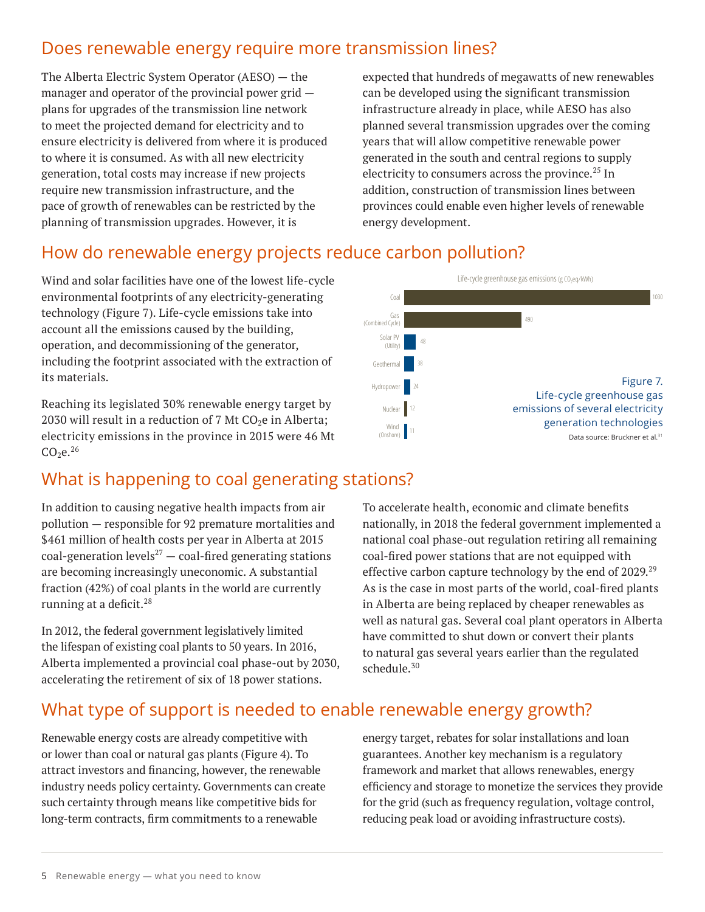# Does renewable energy require more transmission lines?

The Alberta Electric System Operator (AESO) — the manager and operator of the provincial power grid plans for upgrades of the transmission line network to meet the projected demand for electricity and to ensure electricity is delivered from where it is produced to where it is consumed. As with all new electricity generation, total costs may increase if new projects require new transmission infrastructure, and the pace of growth of renewables can be restricted by the planning of transmission upgrades. However, it is

expected that hundreds of megawatts of new renewables can be developed using the significant transmission infrastructure already in place, while AESO has also planned several transmission upgrades over the coming years that will allow competitive renewable power generated in the south and central regions to supply electricity to consumers across the province.<sup>25</sup> In addition, construction of transmission lines between provinces could enable even higher levels of renewable energy development.

# How do renewable energy projects reduce carbon pollution?

Wind and solar facilities have one of the lowest life-cycle environmental footprints of any electricity-generating technology (Figure 7). Life-cycle emissions take into account all the emissions caused by the building, operation, and decommissioning of the generator, including the footprint associated with the extraction of its materials.

Reaching its legislated 30% renewable energy target by 2030 will result in a reduction of 7 Mt  $CO<sub>2</sub>e$  in Alberta; electricity emissions in the province in 2015 were 46 Mt  $CO<sub>2</sub>e<sup>26</sup>$ 

# What is happening to coal generating stations?

In addition to causing negative health impacts from air pollution — responsible for 92 premature mortalities and \$461 million of health costs per year in Alberta at 2015 coal-generation levels<sup>27</sup>  $-$  coal-fired generating stations are becoming increasingly uneconomic. A substantial fraction (42%) of coal plants in the world are currently running at a deficit.<sup>28</sup>

In 2012, the federal government legislatively limited the lifespan of existing coal plants to 50 years. In 2016, Alberta implemented a provincial coal phase-out by 2030, accelerating the retirement of six of 18 power stations.



To accelerate health, economic and climate benefits nationally, in 2018 the federal government implemented a national coal phase-out regulation retiring all remaining coal-fired power stations that are not equipped with effective carbon capture technology by the end of  $2029$ <sup>29</sup> As is the case in most parts of the world, coal-fired plants in Alberta are being replaced by cheaper renewables as well as natural gas. Several coal plant operators in Alberta have committed to shut down or convert their plants to natural gas several years earlier than the regulated schedule $30$ 

# What type of support is needed to enable renewable energy growth?

Renewable energy costs are already competitive with or lower than coal or natural gas plants (Figure 4). To attract investors and financing, however, the renewable industry needs policy certainty. Governments can create such certainty through means like competitive bids for long-term contracts, firm commitments to a renewable

energy target, rebates for solar installations and loan guarantees. Another key mechanism is a regulatory framework and market that allows renewables, energy efficiency and storage to monetize the services they provide for the grid (such as frequency regulation, voltage control, reducing peak load or avoiding infrastructure costs).